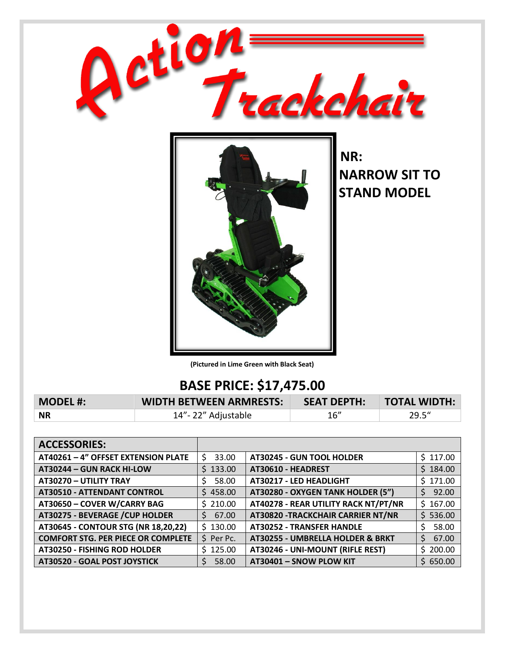

**(Pictured in Lime Green with Black Seat)**

## **BASE PRICE: \$17,475.00**

| <b>MODEL #:</b> | <b>WIDTH BETWEEN ARMRESTS:</b> | SEAT DEPTH: TOTAL WIDTH: |       |
|-----------------|--------------------------------|--------------------------|-------|
| <b>NR</b>       | 14"-22" Adjustable             | - 16″                    | 29.5" |

| <b>ACCESSORIES:</b>                       |            |                                      |             |
|-------------------------------------------|------------|--------------------------------------|-------------|
| AT40261 - 4" OFFSET EXTENSION PLATE       | 33.00<br>S | <b>AT30245 - GUN TOOL HOLDER</b>     | \$117.00    |
| AT30244 - GUN RACK HI-LOW                 | \$133.00   | AT30610 - HEADREST                   | \$184.00    |
| AT30270 - UTILITY TRAY                    | 58.00      | AT30217 - LED HEADLIGHT              | \$171.00    |
| <b>AT30510 - ATTENDANT CONTROL</b>        | \$458.00   | AT30280 - OXYGEN TANK HOLDER (5")    | 92.00<br>S. |
| AT30650 - COVER W/CARRY BAG               | \$210.00   | AT40278 - REAR UTILITY RACK NT/PT/NR | \$167.00    |
| AT30275 - BEVERAGE / CUP HOLDER           | \$67.00    | AT30820 - TRACKCHAIR CARRIER NT/NR   | \$536.00    |
| AT30645 - CONTOUR STG (NR 18,20,22)       | \$130.00   | <b>AT30252 - TRANSFER HANDLE</b>     | 58.00       |
| <b>COMFORT STG. PER PIECE OR COMPLETE</b> | \$ Per Pc. | AT30255 - UMBRELLA HOLDER & BRKT     | 67.00<br>Ś. |
| AT30250 - FISHING ROD HOLDER              | \$125.00   | AT30246 - UNI-MOUNT (RIFLE REST)     | \$200.00    |
| AT30520 - GOAL POST JOYSTICK              | 58.00      | AT30401 - SNOW PLOW KIT              | \$650.00    |